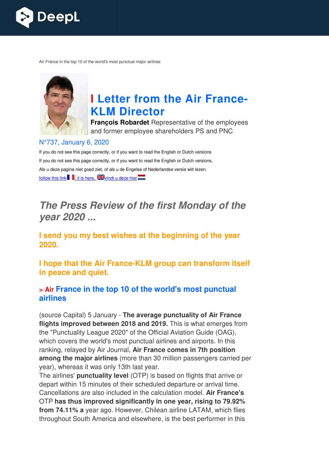

Air France in the top 10 of the world's most punctual major airlines



# **I** Letter from the Air France-**KLM Director**

**François Robardet** Representative of the employees and former employee shareholders PS and PNC

#### N°737, January 6, 2020

If you do not see this page correctly, or if you want to read the English or Dutch versions If you do not see this page correctly, or if you want to read the English or Dutch versions, Als u deze pagina niet goed ziet, of als u de Engelse of Nederlandse versie wilt lezen, follow this link  $\blacksquare$ , it is here,  $\mathbb{Z}$  vindt u deze hier

# *The Press Review of the first Monday of the year 2020 ...*

**I send you my best wishes at the beginning of the year 2020.** 

**I** hope that the Air France-KLM group can transform itself **in peace and quiet.** 

#### **> Air France in the top 10 of the world's most punctual airlines**

(source Capital) 5 January - **The average punctuality of Air France flights improved between 2018 and 2019.**  This is what emerges from the "Punctuality League 2020" of the Official Aviation Guide (OAG), which covers the world's most punctual airlines and airports. In this ranking, relayed by Air Journal, **Air France comes in 7th position among the major airlines** (more than 30 million passengers carried per year), whereas it was only 13th last year.

The airlines' **punctuality level** (OTP) is based on flights that arrive or depart within 15 minutes of their scheduled departure or arrival time. Cancellations are also included in the calculation model. Air France's OTP **has thus improved significantly in one year, rising to 79.92% from 74.11% a** year ago. However, Chilean airline LATAM, which flies throughout South America and elsewhere, is the best performer in this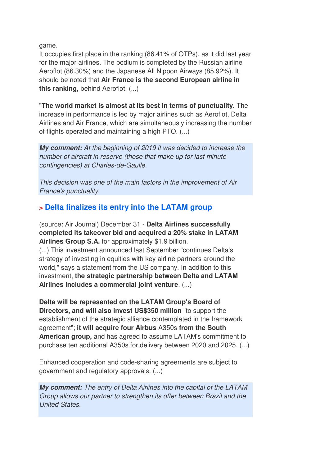game.

It occupies first place in the ranking (86.41% of OTPs), as it did last year for the major airlines. The podium is completed by the Russian airline Aeroflot (86.30%) and the Japanese All Nippon Airways (85.92%). It should be noted that **Air France is the second European airline in this ranking,** behind Aeroflot. (...)

"**The world market is almost at its best in terms of punctuality**. The increase in performance is led by major airlines such as Aeroflot, Delta Airlines and Air France, which are simultaneously increasing the number of flights operated and maintaining a high PTO. (...)

*My comment:* At the beginning of 2019 it was decided to increase the number of aircraft in reserve (those that make up for last minute contingencies) at Charles-de-Gaulle.

This decision was one of the main factors in the improvement of Air France's punctuality.

## **> Delta finalizes its entry into the LATAM group**

(source: Air Journal) December 31 - **Delta Airlines successfully completed its takeover bid and acquired a 20% stake in LATAM Airlines Group S.A.** for approximately \$1.9 billion. (...) This investment announced last September "continues Delta's strategy of investing in equities with key airline partners around the world," says a statement from the US company. In addition to this investment, **the strategic partnership between Delta and LATAM Airlines includes a commercial joint venture**. (...)

**Delta will be represented on the LATAM Group's Board of Directors, and will also invest US\$350 million** "to support the establishment of the strategic alliance contemplated in the framework agreement"; **it will acquire four Airbus** A350s **from the South American group,** and has agreed to assume LATAM's commitment to purchase ten additional A350s for delivery between 2020 and 2025. (...)

Enhanced cooperation and code-sharing agreements are subject to government and regulatory approvals. (...)

*My comment:* The entry of Delta Airlines into the capital of the LATAM Group allows our partner to strengthen its offer between Brazil and the United States.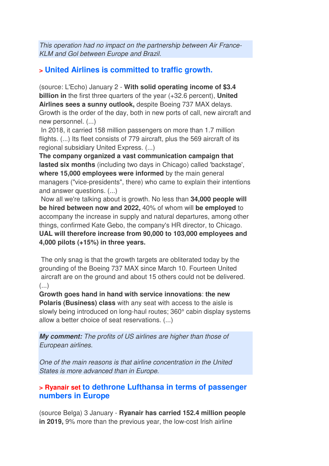This operation had no impact on the partnership between Air France-KLM and Gol between Europe and Brazil.

### **> United Airlines is committed to traffic growth.**

(source: L'Echo) January 2 - **With solid operating income of \$3.4 billion in** the first three quarters of the year (+32.6 percent), **United Airlines sees a sunny outlook,** despite Boeing 737 MAX delays. Growth is the order of the day, both in new ports of call, new aircraft and new personnel. (...)

 In 2018, it carried 158 million passengers on more than 1.7 million flights. (...) Its fleet consists of 779 aircraft, plus the 569 aircraft of its regional subsidiary United Express. (...)

**The company organized a vast communication campaign that lasted six months** (including two days in Chicago) called 'backstage', **where 15,000 employees were informed** by the main general managers ("vice-presidents", there) who came to explain their intentions and answer questions. (...)

 Now all we're talking about is growth. No less than **34,000 people will be hired between now and 2022,** 40% of whom will **be employed** to accompany the increase in supply and natural departures, among other things, confirmed Kate Gebo, the company's HR director, to Chicago. **UAL will therefore increase from 90,000 to 103,000 employees and 4,000 pilots (+15%) in three years.** 

 The only snag is that the growth targets are obliterated today by the grounding of the Boeing 737 MAX since March 10. Fourteen United aircraft are on the ground and about 15 others could not be delivered. (...)

**Growth goes hand in hand with service innovations**: **the new Polaris (Business) class** with any seat with access to the aisle is slowly being introduced on long-haul routes; 360° cabin display systems allow a better choice of seat reservations. (...)

*My comment:* The profits of US airlines are higher than those of European airlines.

One of the main reasons is that airline concentration in the United States is more advanced than in Europe.

#### **> Ryanair set to dethrone Lufthansa in terms of passenger numbers in Europe**

(source Belga) 3 January - **Ryanair has carried 152.4 million people in 2019,** 9% more than the previous year, the low-cost Irish airline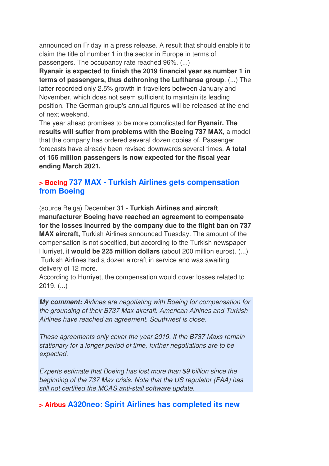announced on Friday in a press release. A result that should enable it to claim the title of number 1 in the sector in Europe in terms of passengers. The occupancy rate reached 96%. (...)

**Ryanair is expected to finish the 2019 financial year as number 1 in terms of passengers, thus dethroning the Lufthansa group**. (...) The latter recorded only 2.5% growth in travellers between January and November, which does not seem sufficient to maintain its leading position. The German group's annual figures will be released at the end of next weekend.

The year ahead promises to be more complicated **for Ryanair. The results will suffer from problems with the Boeing 737 MAX**, a model that the company has ordered several dozen copies of. Passenger forecasts have already been revised downwards several times. **A total of 156 million passengers is now expected for the fiscal year ending March 2021.**

#### **> Boeing 737 MAX - Turkish Airlines gets compensation from Boeing**

(source Belga) December 31 - **Turkish Airlines and aircraft manufacturer Boeing have reached an agreement to compensate for the losses incurred by the company due to the flight ban on 737 MAX aircraft,** Turkish Airlines announced Tuesday. The amount of the compensation is not specified, but according to the Turkish newspaper Hurriyet, it **would be 225 million dollars** (about 200 million euros). (...) Turkish Airlines had a dozen aircraft in service and was awaiting delivery of 12 more.

According to Hurriyet, the compensation would cover losses related to 2019. (...)

*My comment:* Airlines are negotiating with Boeing for compensation for the grounding of their B737 Max aircraft. American Airlines and Turkish Airlines have reached an agreement. Southwest is close.

These agreements only cover the year 2019. If the B737 Maxs remain stationary for a longer period of time, further negotiations are to be expected.

Experts estimate that Boeing has lost more than \$9 billion since the beginning of the 737 Max crisis. Note that the US regulator (FAA) has still not certified the MCAS anti-stall software update.

**> Airbus A320neo: Spirit Airlines has completed its new**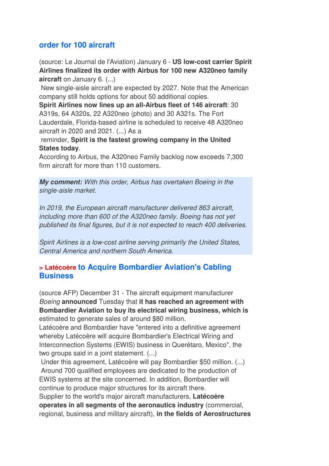### **order for 100 aircraft**

(source: Le Journal de l'Aviation) January 6 - **US low-cost carrier Spirit Airlines finalized its order with Airbus for 100 new A320neo family aircraft** on January 6. (...)

 New single-aisle aircraft are expected by 2027. Note that the American company still holds options for about 50 additional copies.

**Spirit Airlines now lines up an all-Airbus fleet of 146 aircraft**: 30 A319s, 64 A320s, 22 A320neo (photo) and 30 A321s. The Fort Lauderdale, Florida-based airline is scheduled to receive 48 A320neo aircraft in 2020 and 2021. (...) As a

 reminder, **Spirit is the fastest growing company in the United States today**.

According to Airbus, the A320neo Family backlog now exceeds 7,300 firm aircraft for more than 110 customers.

*My comment:* With this order, Airbus has overtaken Boeing in the single-aisle market.

In 2019, the European aircraft manufacturer delivered 863 aircraft, including more than 600 of the A320neo family. Boeing has not yet published its final figures, but it is not expected to reach 400 deliveries.

Spirit Airlines is a low-cost airline serving primarily the United States, Central America and northern South America.

#### **> Latécoère to Acquire Bombardier Aviation's Cabling Business**

(source AFP) December 31 - The aircraft equipment manufacturer Boeing **announced** Tuesday that **it has reached an agreement with Bombardier Aviation to buy its electrical wiring business, which is** estimated to generate sales of around \$80 million.

Latécoère and Bombardier have "entered into a definitive agreement whereby Latécoère will acquire Bombardier's Electrical Wiring and Interconnection Systems (EWIS) business in Querétaro, Mexico", the two groups said in a joint statement. (...)

 Under this agreement, Latécoère will pay Bombardier \$50 million. (...) Around 700 qualified employees are dedicated to the production of EWIS systems at the site concerned. In addition, Bombardier will continue to produce major structures for its aircraft there. Supplier to the world's major aircraft manufacturers, **Latécoère** 

**operates in all segments of the aeronautics industry** (commercial, regional, business and military aircraft), **in the fields of Aerostructures**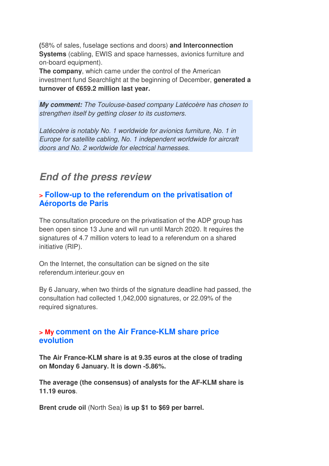**(**58% of sales, fuselage sections and doors) **and Interconnection Systems** (cabling, EWIS and space harnesses, avionics furniture and on-board equipment).

**The company**, which came under the control of the American investment fund Searchlight at the beginning of December, **generated a turnover of €659.2 million last year.**

*My comment:* The Toulouse-based company Latécoère has chosen to strengthen itself by getting closer to its customers.

Latécoère is notably No. 1 worldwide for avionics furniture, No. 1 in Europe for satellite cabling, No. 1 independent worldwide for aircraft doors and No. 2 worldwide for electrical harnesses.

# *End of the press review*

#### **> Follow-up to the referendum on the privatisation of Aéroports de Paris**

The consultation procedure on the privatisation of the ADP group has been open since 13 June and will run until March 2020. It requires the signatures of 4.7 million voters to lead to a referendum on a shared initiative (RIP).

On the Internet, the consultation can be signed on the site referendum.interieur.gouv en

By 6 January, when two thirds of the signature deadline had passed, the consultation had collected 1,042,000 signatures, or 22.09% of the required signatures.

#### **> My comment on the Air France-KLM share price evolution**

**The Air France-KLM share is at 9.35 euros at the close of trading on Monday 6 January. It is down -5.86%.** 

**The average (the consensus) of analysts for the AF-KLM share is 11.19 euros**.

**Brent crude oil** (North Sea) **is up \$1 to \$69 per barrel.**